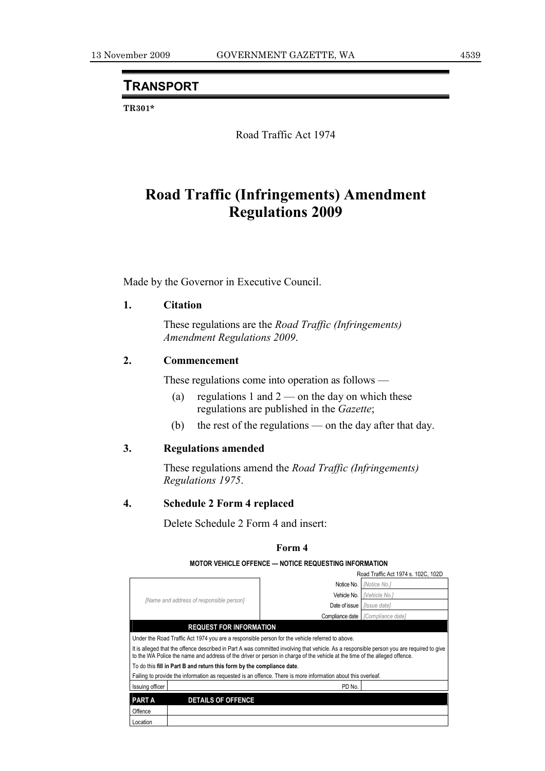# **TRANSPORT**

**TR301\*** 

Road Traffic Act 1974

# **Road Traffic (Infringements) Amendment Regulations 2009**

Made by the Governor in Executive Council.

### **1. Citation**

 These regulations are the *Road Traffic (Infringements) Amendment Regulations 2009*.

# **2. Commencement**

These regulations come into operation as follows —

- (a) regulations 1 and  $2$  on the day on which these regulations are published in the *Gazette*;
- (b) the rest of the regulations on the day after that day.

## **3. Regulations amended**

 These regulations amend the *Road Traffic (Infringements) Regulations 1975*.

#### **4. Schedule 2 Form 4 replaced**

Delete Schedule 2 Form 4 and insert:

#### **Form 4**

#### **MOTOR VEHICLE OFFENCE — NOTICE REQUESTING INFORMATION**

|                                                                                                                                                                                                                                                                         |                                          |               | Road Traffic Act 1974 s. 102C, 102D      |  |  |  |  |
|-------------------------------------------------------------------------------------------------------------------------------------------------------------------------------------------------------------------------------------------------------------------------|------------------------------------------|---------------|------------------------------------------|--|--|--|--|
|                                                                                                                                                                                                                                                                         | [Name and address of responsible person] | Notice No.    | <b>INotice No.1</b>                      |  |  |  |  |
|                                                                                                                                                                                                                                                                         |                                          | Vehicle No.   | Nehicle No.i                             |  |  |  |  |
|                                                                                                                                                                                                                                                                         |                                          | Date of issue | <i><b>Ilssue datel</b></i>               |  |  |  |  |
|                                                                                                                                                                                                                                                                         |                                          |               | <b>Compliance date</b> [Compliance date] |  |  |  |  |
| <b>REQUEST FOR INFORMATION</b>                                                                                                                                                                                                                                          |                                          |               |                                          |  |  |  |  |
| Under the Road Traffic Act 1974 you are a responsible person for the vehicle referred to above.                                                                                                                                                                         |                                          |               |                                          |  |  |  |  |
| It is alleged that the offence described in Part A was committed involving that vehicle. As a responsible person you are required to give<br>to the WA Police the name and address of the driver or person in charge of the vehicle at the time of the alleged offence. |                                          |               |                                          |  |  |  |  |
| To do this fill in Part B and return this form by the compliance date.                                                                                                                                                                                                  |                                          |               |                                          |  |  |  |  |
| Failing to provide the information as requested is an offence. There is more information about this overleaf.                                                                                                                                                           |                                          |               |                                          |  |  |  |  |
| Issuing officer                                                                                                                                                                                                                                                         |                                          | PD No.        |                                          |  |  |  |  |
| <b>PART A</b>                                                                                                                                                                                                                                                           | <b>DETAILS OF OFFENCE</b>                |               |                                          |  |  |  |  |
| Offence                                                                                                                                                                                                                                                                 |                                          |               |                                          |  |  |  |  |
| Location                                                                                                                                                                                                                                                                |                                          |               |                                          |  |  |  |  |